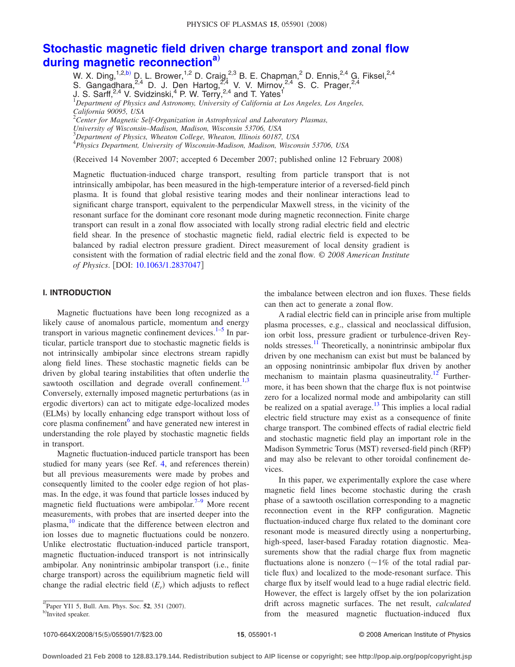# <span id="page-0-0"></span>**[Stochastic magnetic field driven charge transport and zonal flow](http://dx.doi.org/10.1063/1.2837047) [during magnetic reconnection](http://dx.doi.org/10.1063/1.2837047)[a](#page-0-0)**…

W. X. Ding,<sup>1,2[,b](#page-0-1))</sup> D. L. Brower,<sup>1,2</sup> D. Craig,<sup>2,3</sup> B. E. Chapman,<sup>2</sup> D. Ennis,<sup>2,4</sup> G. Fiksel,<sup>2,4</sup> S. Gangadhara,  $^{2,4}$  D. J. Den Hartog,  $^{2,4}$  V. V. Mirnov,  $^{2,4}$  S. C. Prager,  $^{2,4}$ J. S. Sarff,<sup>2,4</sup> V. Svidzinski,<sup>4</sup> P. W. Terry,<sup>2,4</sup> and T. Yates<sup>1</sup> 1 *Department of Physics and Astronomy, University of California at Los Angeles, Los Angeles, California 90095, USA* 2 *Center for Magnetic Self-Organization in Astrophysical and Laboratory Plasmas, University of Wisconsin–Madison, Madison, Wisconsin 53706, USA* 3 *Department of Physics, Wheaton College, Wheaton, Illinois 60187, USA* 4 *Physics Department, University of Wisconsin-Madison, Madison, Wisconsin 53706, USA*

(Received 14 November 2007; accepted 6 December 2007; published online 12 February 2008)

Magnetic fluctuation-induced charge transport, resulting from particle transport that is not intrinsically ambipolar, has been measured in the high-temperature interior of a reversed-field pinch plasma. It is found that global resistive tearing modes and their nonlinear interactions lead to significant charge transport, equivalent to the perpendicular Maxwell stress, in the vicinity of the resonant surface for the dominant core resonant mode during magnetic reconnection. Finite charge transport can result in a zonal flow associated with locally strong radial electric field and electric field shear. In the presence of stochastic magnetic field, radial electric field is expected to be balanced by radial electron pressure gradient. Direct measurement of local density gradient is consistent with the formation of radial electric field and the zonal flow. © *2008 American Institute of Physics*. DOI: [10.1063/1.2837047](http://dx.doi.org/10.1063/1.2837047)

## **I. INTRODUCTION**

Magnetic fluctuations have been long recognized as a likely cause of anomalous particle, momentum and energy transport in various magnetic confinement devices. $1-5$  $1-5$  In particular, particle transport due to stochastic magnetic fields is not intrinsically ambipolar since electrons stream rapidly along field lines. These stochastic magnetic fields can be driven by global tearing instabilities that often underlie the sawtooth oscillation and degrade overall confinement. $1,3$  $1,3$ Conversely, externally imposed magnetic perturbations (as in ergodic divertors) can act to mitigate edge-localized modes (ELMs) by locally enhancing edge transport without loss of core plasma confinement<sup>o</sup> and have generated new interest in understanding the role played by stochastic magnetic fields in transport.

Magnetic fluctuation-induced particle transport has been studied for many years (see Ref. [4,](#page-6-4) and references therein) but all previous measurements were made by probes and consequently limited to the cooler edge region of hot plasmas. In the edge, it was found that particle losses induced by magnetic field fluctuations were ambipolar.<sup>7[–9](#page-6-6)</sup> More recent measurements, with probes that are inserted deeper into the plasma,<sup>10</sup> indicate that the difference between electron and ion losses due to magnetic fluctuations could be nonzero. Unlike electrostatic fluctuation-induced particle transport, magnetic fluctuation-induced transport is not intrinsically ambipolar. Any nonintrinsic ambipolar transport (i.e., finite charge transport) across the equilibrium magnetic field will change the radial electric field  $(E_r)$  which adjusts to reflect

the imbalance between electron and ion fluxes. These fields can then act to generate a zonal flow.

A radial electric field can in principle arise from multiple plasma processes, e.g., classical and neoclassical diffusion, ion orbit loss, pressure gradient or turbulence-driven Reynolds stresses.<sup>11</sup> Theoretically, a nonintrinsic ambipolar flux driven by one mechanism can exist but must be balanced by an opposing nonintrinsic ambipolar flux driven by another mechanism to maintain plasma quasineutrality.<sup>12</sup> Furthermore, it has been shown that the charge flux is not pointwise zero for a localized normal mode and ambipolarity can still be realized on a spatial average.<sup>13</sup> This implies a local radial electric field structure may exist as a consequence of finite charge transport. The combined effects of radial electric field and stochastic magnetic field play an important role in the Madison Symmetric Torus (MST) reversed-field pinch (RFP) and may also be relevant to other toroidal confinement devices.

In this paper, we experimentally explore the case where magnetic field lines become stochastic during the crash phase of a sawtooth oscillation corresponding to a magnetic reconnection event in the RFP configuration. Magnetic fluctuation-induced charge flux related to the dominant core resonant mode is measured directly using a nonperturbing, high-speed, laser-based Faraday rotation diagnostic. Measurements show that the radial charge flux from magnetic fluctuations alone is nonzero  $(2\%$  of the total radial particle flux) and localized to the mode-resonant surface. This charge flux by itself would lead to a huge radial electric field. However, the effect is largely offset by the ion polarization drift across magnetic surfaces. The net result, *calculated* from the measured magnetic fluctuation-induced flux

 ${}^{a}$ Paper YI1 5, Bull. Am. Phys. Soc. **52**, 351 (2007).

<span id="page-0-1"></span>Invited speaker.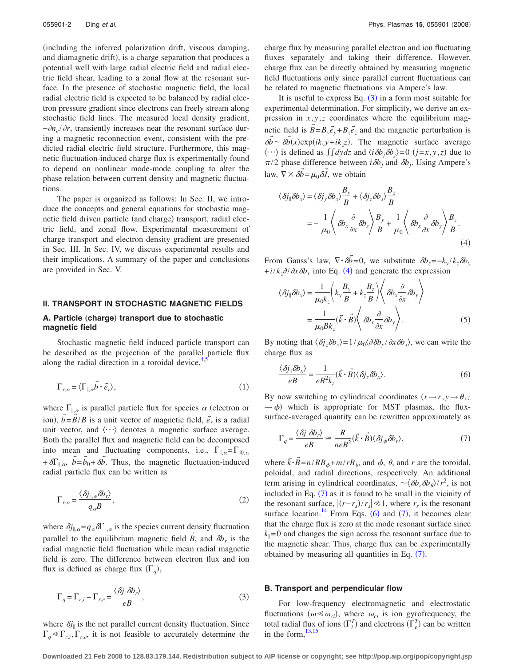including the inferred polarization drift, viscous damping, and diamagnetic drift), is a charge separation that produces a potential well with large radial electric field and radial electric field shear, leading to a zonal flow at the resonant surface. In the presence of stochastic magnetic field, the local radial electric field is expected to be balanced by radial electron pressure gradient since electrons can freely stream along stochastic field lines. The measured local density gradient, *−∂n<sub>e</sub>* / ∂r, transiently increases near the resonant surface during a magnetic reconnection event, consistent with the predicted radial electric field structure. Furthermore, this magnetic fluctuation-induced charge flux is experimentally found to depend on nonlinear mode-mode coupling to alter the phase relation between current density and magnetic fluctuations.

The paper is organized as follows: In Sec. II, we introduce the concepts and general equations for stochastic magnetic field driven particle (and charge) transport, radial electric field, and zonal flow. Experimental measurement of charge transport and electron density gradient are presented in Sec. III. In Sec. IV, we discuss experimental results and their implications. A summary of the paper and conclusions are provided in Sec. V.

#### **II. TRANSPORT IN STOCHASTIC MAGNETIC FIELDS**

# A. Particle (charge) transport due to stochastic **magnetic field**

Stochastic magnetic field induced particle transport can be described as the projection of the parallel particle flux along the radial direction in a toroidal device, $4\frac{1}{3}$ 

$$
\Gamma_{r,\alpha} = \langle \Gamma_{\parallel,\alpha} \vec{b} \cdot \vec{e}_r \rangle,\tag{1}
$$

where  $\Gamma_{\parallel,\alpha}$  is parallel particle flux for species  $\alpha$  (electron or ion),  $\vec{b} = \vec{B}/B$  is a unit vector of magnetic field,  $\vec{e}_r$  is a radial unit vector, and  $\langle \cdots \rangle$  denotes a magnetic surface average. Both the parallel flux and magnetic field can be decomposed into mean and fluctuating components, i.e.,  $\Gamma_{\parallel,\alpha} = \Gamma_{\parallel 0,\alpha}$ +  $\delta\Gamma_{\parallel,\alpha}$ ,  $\vec{b} = \vec{b}_0 + \delta\vec{b}$ . Thus, the magnetic fluctuation-induced radial particle flux can be written as

<span id="page-1-4"></span>
$$
\Gamma_{r,\alpha} = \frac{\langle \delta j_{\parallel,\alpha} \delta b_r \rangle}{q_\alpha B},\tag{2}
$$

where  $\delta j_{\parallel,\alpha} = q_\alpha \delta \Gamma_{\parallel,\alpha}$  is the species current density fluctuation parallel to the equilibrium magnetic field  $\vec{B}$ , and  $\delta b_r$  is the radial magnetic field fluctuation while mean radial magnetic field is zero. The difference between electron flux and ion flux is defined as charge flux  $(\Gamma_q)$ ,

<span id="page-1-0"></span>
$$
\Gamma_q = \Gamma_{r,i} - \Gamma_{r,e} = \frac{\langle \delta j_{\parallel} \delta b_r \rangle}{eB},\tag{3}
$$

where  $\delta j_{\parallel}$  is the net parallel current density fluctuation. Since  $\Gamma_q \ll \Gamma_{r,i}$ ,  $\Gamma_{r,e}$ , it is not feasible to accurately determine the charge flux by measuring parallel electron and ion fluctuating fluxes separately and taking their difference. However, charge flux can be directly obtained by measuring magnetic field fluctuations only since parallel current fluctuations can be related to magnetic fluctuations via Ampere's law.

It is useful to express Eq.  $(3)$  $(3)$  $(3)$  in a form most suitable for experimental determination. For simplicity, we derive an expression in  $x, y, z$  coordinates where the equilibrium magnetic field is  $\vec{B} = B_y \vec{e}_y + B_z \vec{e}_z$  and the magnetic perturbation is  $\delta \vec{b} \sim \delta \vec{b}(x) \exp(ik_y y + ik_z z)$ . The magnetic surface average  $\langle \cdots \rangle$  is defined as  $\int \int dy dz$  and  $\langle i \delta b_j \delta b_j \rangle = 0$   $(j=x, y, z)$  due to  $\pi/2$  phase difference between *i* $\delta b_j$  and  $\delta b_j$ . Using Ampere's law,  $\nabla \times \delta \vec{b} = \mu_0 \delta \vec{J}$ , we obtain

<span id="page-1-1"></span>
$$
\langle \delta j_{\parallel} \delta b_{x} \rangle = \langle \delta j_{y} \delta b_{x} \rangle \frac{B_{y}}{B} + \langle \delta j_{z} \delta b_{x} \rangle \frac{B_{z}}{B}
$$
  
= 
$$
- \frac{1}{\mu_{0}} \langle \delta b_{x} \frac{\partial}{\partial x} \delta b_{z} \rangle \frac{B_{y}}{B} + \frac{1}{\mu_{0}} \langle \delta b_{x} \frac{\partial}{\partial x} \delta b_{y} \rangle \frac{B_{z}}{B}.
$$
 (4)

From Gauss's law,  $\nabla \cdot \vec{\delta b} = 0$ , we substitute  $\delta b_z = -k_y / k_z \delta b_y$  $+i/k_z \partial/\partial x \partial b_x$  into Eq. ([4](#page-1-1)) and generate the expression

$$
\langle \delta j_{\parallel} \delta b_x \rangle = \frac{1}{\mu_0 k_z} \left( k_y \frac{B_y}{B} + k_z \frac{B_z}{B} \right) \left\langle \delta b_x \frac{\partial}{\partial x} \delta b_y \right\rangle
$$

$$
= \frac{1}{\mu_0 B k_z} (\vec{k} \cdot \vec{B}) \left\langle \delta b_x \frac{\partial}{\partial x} \delta b_y \right\rangle. \tag{5}
$$

By noting that  $\langle \delta j_z \delta b_x \rangle = 1/\mu_0 \langle \partial \delta b_y / \partial x \delta b_x \rangle$ , we can write the charge flux as

<span id="page-1-3"></span>
$$
\frac{\langle \delta j_{\parallel} \delta b_x \rangle}{eB} = \frac{1}{eB^2 k_z} (\vec{k} \cdot \vec{B}) \langle \delta j_z \delta b_x \rangle.
$$
 (6)

By now switching to cylindrical coordinates  $(x \rightarrow r, y \rightarrow \theta, z)$  $\rightarrow \phi$ ) which is appropriate for MST plasmas, the fluxsurface-averaged quantity can be rewritten approximately as

<span id="page-1-2"></span>
$$
\Gamma_q = \frac{\langle \delta j_{\parallel} \delta b_r \rangle}{eB} \cong \frac{R}{neB^2} (\vec{k} \cdot \vec{B}) \langle \delta j_{\phi} \delta b_r \rangle, \tag{7}
$$

where  $\vec{k} \cdot \vec{B} = n / RB_{\phi} + m / rB_{\theta}$ , and  $\phi$ ,  $\theta$ , and  $r$  are the toroidal, poloidal, and radial directions, respectively. An additional term arising in cylindrical coordinates,  $\sim \langle \delta b_r \delta b_\theta \rangle / r^2$ , is not included in Eq.  $(7)$  $(7)$  $(7)$  as it is found to be small in the vicinity of the resonant surface,  $|(r-r_s)/r_s| \le 1$ , where  $r_s$  is the resonant surface location.<sup>14</sup> From Eqs. ([6](#page-1-3)) and ([7](#page-1-2)), it becomes clear that the charge flux is zero at the mode resonant surface since  $k_{\parallel}$ =0 and changes the sign across the resonant surface due to the magnetic shear. Thus, charge flux can be experimentally obtained by measuring all quantities in Eq.  $(7)$  $(7)$  $(7)$ .

#### **B. Transport and perpendicular flow**

For low-frequency electromagnetic and electrostatic fluctuations  $(\omega \ll \omega_{ci})$ , where  $\omega_{ci}$  is ion gyrofrequency, the total radial flux of ions  $(\Gamma_i^T)$  and electrons  $(\Gamma_e^T)$  can be written in the form,  $13,15$  $13,15$ 

**Downloaded 21 Feb 2008 to 128.83.179.144. Redistribution subject to AIP license or copyright; see http://pop.aip.org/pop/copyright.jsp**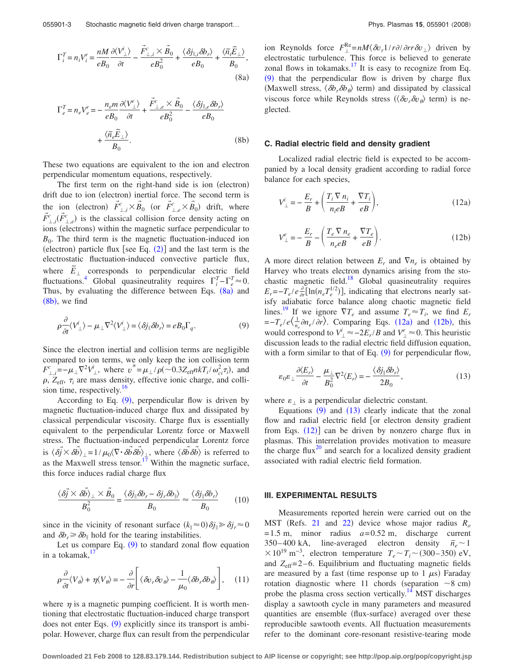<span id="page-2-0"></span>
$$
\Gamma_i^T = n_i V_i^r = \frac{n M}{e B_0} \frac{\partial \langle V_{\perp}^i \rangle}{\partial t} - \frac{\vec{F}_{\perp,i}^c \times \vec{B}_0}{e B_0^2} + \frac{\langle \delta j_{\parallel,i} \delta b_r \rangle}{e B_0} + \frac{\langle \tilde{n}_i \tilde{E}_{\perp} \rangle}{B_0},
$$
\n(8a)

<span id="page-2-1"></span>
$$
\Gamma_e^T = n_e V_e^r = -\frac{n_e m}{e B_0} \frac{\partial \langle V_\perp^e \rangle}{\partial t} + \frac{\tilde{F}_{\perp,e}^c \times \tilde{B}_0}{e B_0^2} - \frac{\langle \delta j_{\parallel,e} \delta b_r \rangle}{e B_0} + \frac{\langle \tilde{n}_e \tilde{E}_\perp \rangle}{B_0}.
$$
\n(8b)

These two equations are equivalent to the ion and electron perpendicular momentum equations, respectively.

The first term on the right-hand side is ion (electron) drift due to ion (electron) inertial force. The second term is the ion (electron)  $\vec{F}^c_{\perp,i} \times \vec{B}_0$  (or  $\vec{F}^c_{\perp,e} \times \vec{B}_0$ ) drift, where  $\vec{F}^c_{\perp,i}(\vec{F}^c_{\perp,e})$  is the classical collision force density acting on ions (electrons) within the magnetic surface perpendicular to  $B_0$ . The third term is the magnetic fluctuation-induced ion (electron) particle flux [see Eq.  $(2)$  $(2)$  $(2)$ ] and the last term is the electrostatic fluctuation-induced convective particle flux, where  $\tilde{E}_{\perp}$  corresponds to perpendicular electric field fluctuations.<sup>4</sup> Global quasineutrality requires  $\Gamma_i^T - \Gamma_e^T \approx 0$ . Thus, by evaluating the difference between Eqs. ([8a](#page-2-0)) and  $(8b)$  $(8b)$  $(8b)$ , we find

<span id="page-2-2"></span>
$$
\rho \frac{\partial}{\partial t} \langle V_{\perp}^{i} \rangle - \mu_{\perp} \nabla^{2} \langle V_{\perp}^{i} \rangle = \langle \delta j_{\parallel} \delta b_{r} \rangle = e B_{0} \Gamma_{q}.
$$
 (9)

Since the electron inertial and collision terms are negligible compared to ion terms, we only keep the ion collision term  $F_{\perp,i}^c = -\mu_\perp \nabla^2 V_{\perp}^i$ , where  $v^* = \mu_\perp / \rho(-0.3 Z_{\text{eff}} n k T_i / \omega_{ci}^2 \tau_i)$ , and  $\rho$ ,  $Z_{\text{eff}}$ ,  $\tau_i$  are mass density, effective ionic charge, and collision time, respectively.<sup>16</sup>

According to Eq.  $(9)$  $(9)$  $(9)$ , perpendicular flow is driven by magnetic fluctuation-induced charge flux and dissipated by classical perpendicular viscosity. Charge flux is essentially equivalent to the perpendicular Lorentz force or Maxwell stress. The fluctuation-induced perpendicular Lorentz force is  $\langle \delta \vec{b} \times \delta \vec{b} \rangle_{\perp} = 1/\mu_0 \langle \nabla \cdot \delta \vec{b} \delta \vec{b} \rangle_{\perp}$ , where  $\langle \delta \vec{b} \delta \vec{b} \rangle$  is referred to as the Maxwell stress tensor.<sup>17</sup> Within the magnetic surface, this force induces radial charge flux

$$
\frac{\langle \delta \vec{j} \times \delta \vec{b} \rangle_{\perp} \times \vec{B}_0}{B_0^2} = \frac{\langle \delta j_{\parallel} \delta b_r - \delta j_r \delta b_{\parallel} \rangle}{B_0} \approx \frac{\langle \delta j_{\parallel} \delta b_r \rangle}{B_0}
$$
(10)

since in the vicinity of resonant surface  $(k_{\parallel} \approx 0) \delta j_{\parallel} \ge \delta j_r \approx 0$ and  $\delta b_r \geq \delta b_\parallel$  hold for the tearing instabilities.

Let us compare Eq.  $(9)$  $(9)$  $(9)$  to standard zonal flow equation in a tokamak, $\frac{17}{2}$ 

$$
\rho \frac{\partial}{\partial t} \langle V_{\theta} \rangle + \eta \langle V_{\theta} \rangle = -\frac{\partial}{\partial r} \left[ \langle \delta v_r \delta v_{\theta} \rangle - \frac{1}{\mu_0} \langle \delta b_r \delta b_{\theta} \rangle \right], \quad (11)
$$

where  $\eta$  is a magnetic pumping coefficient. It is worth mentioning that electrostatic fluctuation-induced charge transport does not enter Eqs. ([9](#page-2-2)) explicitly since its transport is ambipolar. However, charge flux can result from the perpendicular

ion Reynolds force  $F_{\perp}^{\text{Re}} = nM \langle \delta v_r 1/r \partial / \partial r r \delta v_{\perp} \rangle$  driven by electrostatic turbulence. This force is believed to generate zonal flows in tokamaks.<sup>17</sup> It is easy to recognize from Eq.  $(9)$  $(9)$  $(9)$  that the perpendicular flow is driven by charge flux (Maxwell stress,  $\langle \delta b_r \delta b_\theta \rangle$  term) and dissipated by classical viscous force while Reynolds stress  $(\langle \delta v_r \delta v_\theta \rangle)$  term is neglected.

#### **C. Radial electric field and density gradient**

Localized radial electric field is expected to be accompanied by a local density gradient according to radial force balance for each species,

<span id="page-2-3"></span>
$$
V_{\perp}^{i} = -\frac{E_r}{B} + \left(\frac{T_i \nabla n_i}{n_i e B} + \frac{\nabla T_i}{e B}\right),\tag{12a}
$$

<span id="page-2-4"></span>
$$
V_{\perp}^{e} = -\frac{E_r}{B} - \left(\frac{T_e \nabla n_e}{n_e e B} + \frac{\nabla T_e}{e B}\right). \tag{12b}
$$

A more direct relation between  $E_r$  and  $\nabla n_e$  is obtained by Harvey who treats electron dynamics arising from the stochastic magnetic field.<sup>18</sup> Global quasineutrality requires  $E_r = -T_e/e \frac{\partial}{\partial r} [\ln(n_e T_e^{1/2})]$ , indicating that electrons nearly satisfy adiabatic force balance along chaotic magnetic field lines.<sup>19</sup> If we ignore  $\nabla T_e$  and assume  $T_e \approx T_i$ , we find  $E_r$  $=-T_e/e\left\langle \frac{1}{n_e}\partial n_e/\partial r \right\rangle$ . Comparing Eqs. ([12a](#page-2-3)) and ([12b](#page-2-4)), this would correspond to  $V^i_{\perp} \approx -2E_r/B$  and  $V^e_{\perp} \approx 0$ . This heuristic discussion leads to the radial electric field diffusion equation, with a form similar to that of Eq.  $(9)$  $(9)$  $(9)$  for perpendicular flow,

<span id="page-2-5"></span>
$$
\varepsilon_0 \varepsilon_\perp \frac{\partial \langle E_r \rangle}{\partial t} - \frac{\mu_\perp}{B_0^2} \nabla^2 \langle E_r \rangle = -\frac{\langle \delta j_\parallel \delta b_r \rangle}{2B_0},\tag{13}
$$

where  $\varepsilon_{\perp}$  is a perpendicular dielectric constant.

Equations  $(9)$  $(9)$  $(9)$  and  $(13)$  $(13)$  $(13)$  clearly indicate that the zonal flow and radial electric field [or electron density gradient from Eqs.  $(12)$  $(12)$  $(12)$ ] can be driven by nonzero charge flux in plasmas. This interrelation provides motivation to measure the charge flux<sup>20</sup> and search for a localized density gradient associated with radial electric field formation.

## **III. EXPERIMENTAL RESULTS**

Measurements reported herein were carried out on the MST (Refs. [21](#page-6-18) and [22](#page-6-19)) device whose major radius  $R_o$  $= 1.5$  m, minor radius  $a = 0.52$  m, discharge current  $350-400$  kA, line-averaged electron density  $\bar{n}_e \sim 1$  $× 10^{19}$  m<sup>-3</sup>, electron temperature  $T_e \sim T_i \sim (300-350)$  eV, and  $Z_{\text{eff}}$ =2–6. Equilibrium and fluctuating magnetic fields are measured by a fast (time response up to  $1 \mu s$ ) Faraday rotation diagnostic where 11 chords (separation  $\sim$ 8 cm) probe the plasma cross section vertically.<sup>14</sup> MST discharges display a sawtooth cycle in many parameters and measured quantities are ensemble (flux-surface) averaged over these reproducible sawtooth events. All fluctuation measurements refer to the dominant core-resonant resistive-tearing mode

**Downloaded 21 Feb 2008 to 128.83.179.144. Redistribution subject to AIP license or copyright; see http://pop.aip.org/pop/copyright.jsp**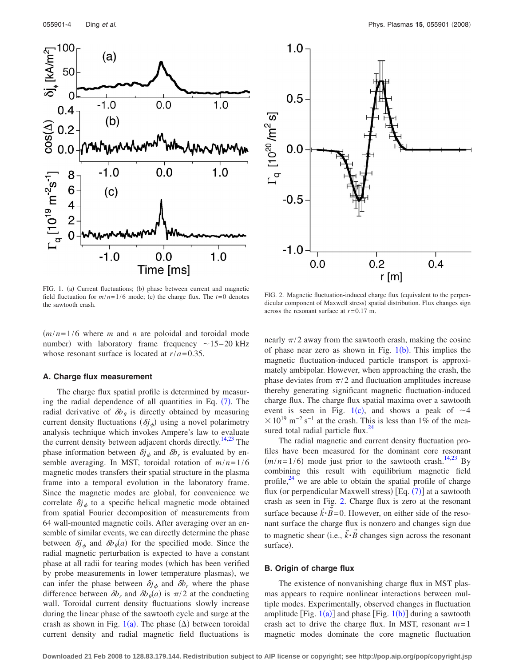<span id="page-3-0"></span>

<span id="page-3-1"></span>

FIG. 1. (a) Current fluctuations; (b) phase between current and magnetic field fluctuation for  $m/n = 1/6$  mode; (c) the charge flux. The  $t=0$  denotes the sawtooth crash.

 $(m/n=1/6$  where *m* and *n* are poloidal and toroidal mode number) with laboratory frame frequency  $\sim$ 15–20 kHz whose resonant surface is located at  $r/a = 0.35$ .

#### **A. Charge flux measurement**

The charge flux spatial profile is determined by measur-ing the radial dependence of all quantities in Eq. ([7](#page-1-2)). The radial derivative of  $\delta b_{\theta}$  is directly obtained by measuring current density fluctuations  $(\delta j_{\phi})$  using a novel polarimetry analysis technique which invokes Ampere's law to evaluate the current density between adjacent chords directly.<sup>14[,23](#page-6-20)</sup> The phase information between  $\delta j_{\phi}$  and  $\delta b_r$  is evaluated by ensemble averaging. In MST, toroidal rotation of *m*/*n*= 1/6 magnetic modes transfers their spatial structure in the plasma frame into a temporal evolution in the laboratory frame. Since the magnetic modes are global, for convenience we correlate  $\delta j_{\phi}$  to a specific helical magnetic mode obtained from spatial Fourier decomposition of measurements from 64 wall-mounted magnetic coils. After averaging over an ensemble of similar events, we can directly determine the phase between  $\delta j_{\phi}$  and  $\delta b_{\theta}(a)$  for the specified mode. Since the radial magnetic perturbation is expected to have a constant phase at all radii for tearing modes (which has been verified by probe measurements in lower temperature plasmas), we can infer the phase between  $\delta j_{\phi}$  and  $\delta b_r$  where the phase difference between  $\delta b_r$  and  $\delta b_\theta(a)$  is  $\pi/2$  at the conducting wall. Toroidal current density fluctuations slowly increase during the linear phase of the sawtooth cycle and surge at the crash as shown in Fig.  $1(a)$  $1(a)$ . The phase  $(\Delta)$  between toroidal current density and radial magnetic field fluctuations is

FIG. 2. Magnetic fluctuation-induced charge flux (equivalent to the perpendicular component of Maxwell stress) spatial distribution. Flux changes sign across the resonant surface at *r*= 0.17 m.

nearly  $\pi/2$  away from the sawtooth crash, making the cosine of phase near zero as shown in Fig.  $1(b)$  $1(b)$ . This implies the magnetic fluctuation-induced particle transport is approximately ambipolar. However, when approaching the crash, the phase deviates from  $\pi/2$  and fluctuation amplitudes increase thereby generating significant magnetic fluctuation-induced charge flux. The charge flux spatial maxima over a sawtooth event is seen in Fig. [1](#page-3-0)(c), and shows a peak of  $\sim$  4  $10^{19}$  m<sup>-2</sup> s<sup>-1</sup> at the crash. This is less than 1% of the measured total radial particle flux. $^{24}$ 

The radial magnetic and current density fluctuation profiles have been measured for the dominant core resonant  $(m/n=1/6)$  mode just prior to the sawtooth crash.<sup>14[,23](#page-6-20)</sup> By combining this result with equilibrium magnetic field profile, $^{24}$  $^{24}$  $^{24}$  we are able to obtain the spatial profile of charge flux (or perpendicular Maxwell stress)  $[Eq. (7)]$  $[Eq. (7)]$  $[Eq. (7)]$  at a sawtooth crash as seen in Fig. [2.](#page-3-1) Charge flux is zero at the resonant surface because  $\vec{k} \cdot \vec{B} = 0$ . However, on either side of the resonant surface the charge flux is nonzero and changes sign due to magnetic shear (i.e.,  $\vec{k} \cdot \vec{B}$  changes sign across the resonant surface).

## **B. Origin of charge flux**

The existence of nonvanishing charge flux in MST plasmas appears to require nonlinear interactions between multiple modes. Experimentally, observed changes in fluctuation amplitude [Fig.  $1(a)$  $1(a)$ ] and phase [Fig.  $1(b)$ ] during a sawtooth crash act to drive the charge flux. In MST, resonant *m*= 1 magnetic modes dominate the core magnetic fluctuation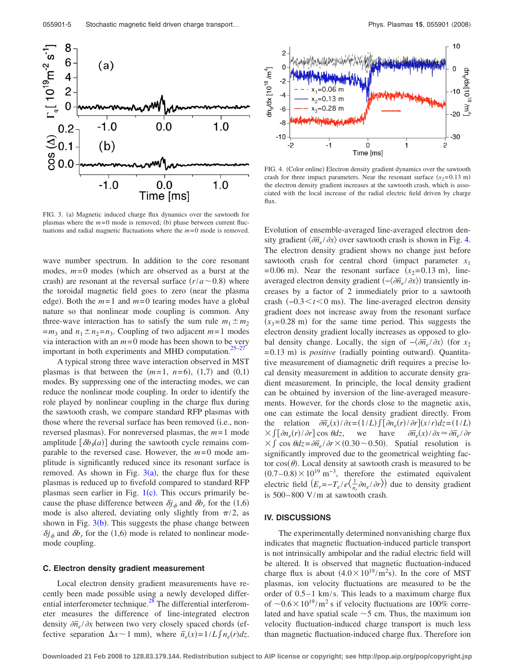<span id="page-4-0"></span>

FIG. 3. (a) Magnetic induced charge flux dynamics over the sawtooth for plasmas where the  $m=0$  mode is removed; (b) phase between current fluctuations and radial magnetic fluctuations where the *m*= 0 mode is removed.

wave number spectrum. In addition to the core resonant modes,  $m=0$  modes (which are observed as a burst at the crash) are resonant at the reversal surface  $(r/a \sim 0.8)$  where the toroidal magnetic field goes to zero (near the plasma edge). Both the  $m=1$  and  $m=0$  tearing modes have a global nature so that nonlinear mode coupling is common. Any three-wave interaction has to satisfy the sum rule  $m_1 \pm m_2$  $=m_3$  and  $n_1 \pm n_2 = n_3$ . Coupling of two adjacent  $m=1$  modes via interaction with an  $m = 0$  mode has been shown to be very important in both experiments and MHD computation. $25-27$  $25-27$ 

A typical strong three wave interaction observed in MST plasmas is that between the  $(m=1, n=6)$ ,  $(1,7)$  and  $(0,1)$ modes. By suppressing one of the interacting modes, we can reduce the nonlinear mode coupling. In order to identify the role played by nonlinear coupling in the charge flux during the sawtooth crash, we compare standard RFP plasmas with those where the reversal surface has been removed (i.e., nonreversed plasmas). For nonreversed plasmas, the  $m=1$  mode amplitude  $\left[ \delta b_{\theta}(a) \right]$  during the sawtooth cycle remains comparable to the reversed case. However, the  $m=0$  mode amplitude is significantly reduced since its resonant surface is removed. As shown in Fig.  $3(a)$  $3(a)$ , the charge flux for these plasmas is reduced up to fivefold compared to standard RFP plasmas seen earlier in Fig.  $1(c)$  $1(c)$ . This occurs primarily because the phase difference between  $\delta j_{\phi}$  and  $\delta b_r$  for the (1,6) mode is also altered, deviating only slightly from  $\pi/2$ , as shown in Fig.  $3(b)$  $3(b)$ . This suggests the phase change between  $\delta j_{\phi}$  and  $\delta b_r$  for the (1,6) mode is related to nonlinear modemode coupling.

## **C. Electron density gradient measurement**

Local electron density gradient measurements have recently been made possible using a newly developed differential interferometer technique.<sup>28</sup> The differential interferometer measures the difference of line-integrated electron density  $\frac{\partial \overline{n}_e}{\partial x}$  between two very closely spaced chords (effective separation  $\Delta x \sim 1$  mm), where  $\bar{n}_e(x) = 1/L \int n_e(r) dz$ .

<span id="page-4-1"></span>

FIG. 4. (Color online) Electron density gradient dynamics over the sawtooth crash for three impact parameters. Near the resonant surface  $(x_2=0.13 \text{ m})$ the electron density gradient increases at the sawtooth crash, which is associated with the local increase of the radial electric field driven by charge flux.

Evolution of ensemble-averaged line-averaged electron density gradient  $\langle \partial \overline{n}_e / \partial x \rangle$  over sawtooth crash is shown in Fig. [4.](#page-4-1) The electron density gradient shows no change just before sawtooth crash for central chord (impact parameter  $x_1$  $= 0.06$  m). Near the resonant surface  $(x_2 = 0.13$  m), lineaveraged electron density gradient  $\left(-\langle \partial \overline{n}_e/\partial x \rangle\right)$  transiently increases by a factor of 2 immediately prior to a sawtooth crash  $(-0.3 < t < 0$  ms). The line-averaged electron density gradient does not increase away from the resonant surface  $(x_3 = 0.28 \text{ m})$  for the same time period. This suggests the electron density gradient locally increases as opposed to global density change. Locally, the sign of  $-\langle \partial \overline{n}_e / \partial x \rangle$  (for  $x_2$ ) =0.13 m) is *positive* (radially pointing outward). Quantitative measurement of diamagnetic drift requires a precise local density measurement in addition to accurate density gradient measurement. In principle, the local density gradient can be obtained by inversion of the line-averaged measurements. However, for the chords close to the magnetic axis, one can estimate the local density gradient directly. From the relation  $\partial \overline{n}_e(x)/\partial x = (1/L) \int [\partial n_e(r)/\partial r](x/r) dz = (1/L)$  $X \int [\partial n_e(r)/\partial r] \cos \theta dz$ , we have  $\partial \overline{n}$  $\overline{n}_e(x)$  /  $\partial x \approx \partial \overline{n}_e$  /  $\partial r$  $\times$  *f* cos  $\theta dz = \partial \overline{n}_e / \partial r \times (0.30 \sim 0.50)$ . Spatial resolution is significantly improved due to the geometrical weighting factor  $cos(\theta)$ . Local density at sawtooth crash is measured to be  $(0.7-0.8) \times 10^{19}$  m<sup>-3</sup>, therefore the estimated equivalent electric field  $(E_r = -T_e / e \left( \frac{1}{n_e} \partial n_e / \partial r \right)$  due to density gradient is 500– 800 V/m at sawtooth crash.

## **IV. DISCUSSIONS**

The experimentally determined nonvanishing charge flux indicates that magnetic fluctuation-induced particle transport is not intrinsically ambipolar and the radial electric field will be altered. It is observed that magnetic fluctuation-induced charge flux is about  $(4.0 \times 10^{19} / \text{m}^2 \text{s})$ . In the core of MST plasmas, ion velocity fluctuations are measured to be the order of  $0.5-1$  km/s. This leads to a maximum charge flux of  $\sim 0.6 \times 10^{19}$ /m<sup>2</sup> s if velocity fluctuations are 100% correlated and have spatial scale  $\sim$  5 cm. Thus, the maximum ion velocity fluctuation-induced charge transport is much less than magnetic fluctuation-induced charge flux. Therefore ion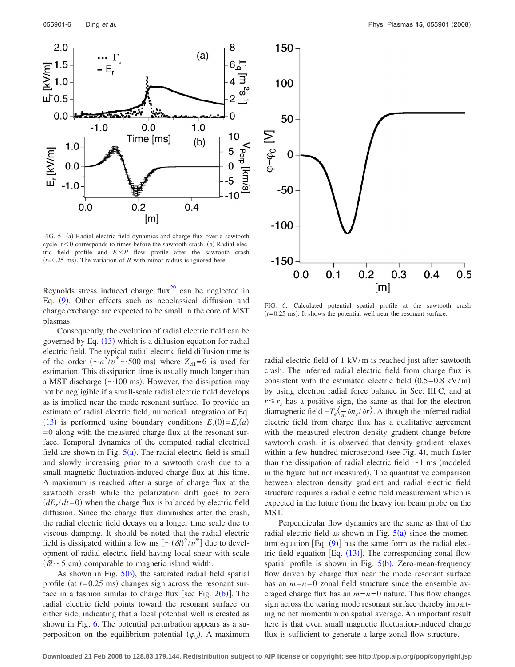<span id="page-5-0"></span>

FIG. 5. (a) Radial electric field dynamics and charge flux over a sawtooth cycle.  $t < 0$  corresponds to times before the sawtooth crash. (b) Radial electric field profile and  $E \times B$  flow profile after the sawtooth crash  $(t=0.25 \text{ ms})$ . The variation of *B* with minor radius is ignored here.

Reynolds stress induced charge flux $^{29}$  can be neglected in Eq. ([9](#page-2-2)). Other effects such as neoclassical diffusion and charge exchange are expected to be small in the core of MST plasmas.

Consequently, the evolution of radial electric field can be governed by Eq. ([13](#page-2-5)) which is a diffusion equation for radial electric field. The typical radial electric field diffusion time is of the order  $(\sim a^2/v^* \sim 500 \text{ ms})$  where  $Z_{\text{eff}}=6$  is used for estimation. This dissipation time is usually much longer than a MST discharge  $(\sim 100 \text{ ms})$ . However, the dissipation may not be negligible if a small-scale radial electric field develops as is implied near the mode resonant surface. To provide an estimate of radial electric field, numerical integration of Eq. ([13](#page-2-5)) is performed using boundary conditions  $E_r(0) = E_r(a)$ = 0 along with the measured charge flux at the resonant surface. Temporal dynamics of the computed radial electrical field are shown in Fig.  $5(a)$  $5(a)$ . The radial electric field is small and slowly increasing prior to a sawtooth crash due to a small magnetic fluctuation-induced charge flux at this time. A maximum is reached after a surge of charge flux at the sawtooth crash while the polarization drift goes to zero  $(dE_r/dt=0)$  when the charge flux is balanced by electric field diffusion. Since the charge flux diminishes after the crash, the radial electric field decays on a longer time scale due to viscous damping. It should be noted that the radial electric field is dissipated within a few ms  $\left[ \frac{\partial}{\partial y} \right]^2 / v^*$  due to development of radial electric field having local shear with scale  $(\delta l \sim 5$  cm) comparable to magnetic island width.

As shown in Fig.  $5(b)$  $5(b)$ , the saturated radial field spatial profile (at  $t = 0.25$  ms) changes sign across the resonant surface in a fashion similar to charge flux [see Fig.  $2(b)$  $2(b)$  $2(b)$ ]. The radial electric field points toward the resonant surface on either side, indicating that a local potential well is created as shown in Fig. [6.](#page-5-1) The potential perturbation appears as a superposition on the equilibrium potential  $(\varphi_0)$ . A maximum

<span id="page-5-1"></span>

FIG. 6. Calculated potential spatial profile at the sawtooth crash  $(t=0.25 \text{ ms})$ . It shows the potential well near the resonant surface.

radial electric field of 1 kV/m is reached just after sawtooth crash. The inferred radial electric field from charge flux is consistent with the estimated electric field  $(0.5-0.8 \text{ kV/m})$ by using electron radial force balance in Sec. III C, and at  $r \le r_s$  has a positive sign, the same as that for the electron diamagnetic field  $-T_e\left(\frac{1}{n_e}\frac{\partial n_e}{\partial r}\right)$ . Although the inferred radial electric field from charge flux has a qualitative agreement with the measured electron density gradient change before sawtooth crash, it is observed that density gradient relaxes within a few hundred microsecond (see Fig. [4](#page-4-1)), much faster than the dissipation of radial electric field  $\sim$  1 ms (modeled in the figure but not measured). The quantitative comparison between electron density gradient and radial electric field structure requires a radial electric field measurement which is expected in the future from the heavy ion beam probe on the MST.

Perpendicular flow dynamics are the same as that of the radial electric field as shown in Fig.  $5(a)$  $5(a)$  since the momentum equation  $[Eq. (9)]$  $[Eq. (9)]$  $[Eq. (9)]$  has the same form as the radial electric field equation [Eq.  $(13)$  $(13)$  $(13)$ ]. The corresponding zonal flow spatial profile is shown in Fig.  $5(b)$  $5(b)$ . Zero-mean-frequency flow driven by charge flux near the mode resonant surface has an  $m=n=0$  zonal field structure since the ensemble averaged charge flux has an  $m = n = 0$  nature. This flow changes sign across the tearing mode resonant surface thereby imparting no net momentum on spatial average. An important result here is that even small magnetic fluctuation-induced charge flux is sufficient to generate a large zonal flow structure.